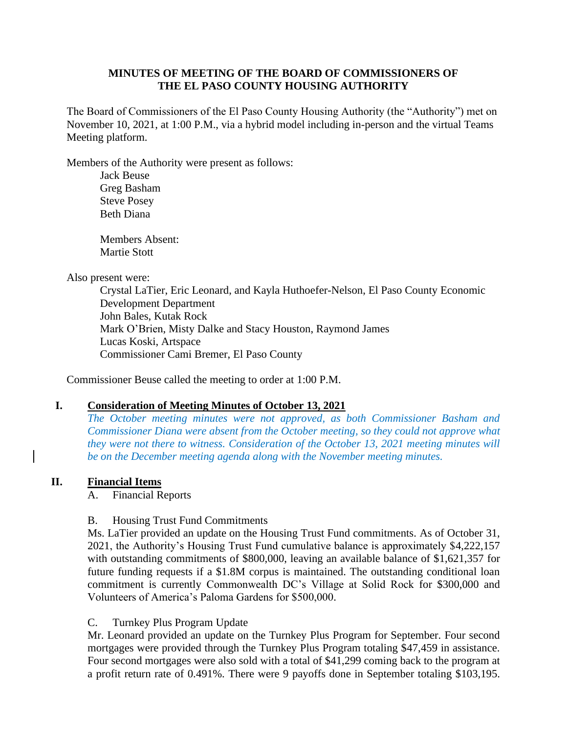## **MINUTES OF MEETING OF THE BOARD OF COMMISSIONERS OF THE EL PASO COUNTY HOUSING AUTHORITY**

The Board of Commissioners of the El Paso County Housing Authority (the "Authority") met on November 10, 2021, at 1:00 P.M., via a hybrid model including in-person and the virtual Teams Meeting platform.

Members of the Authority were present as follows:

Jack Beuse Greg Basham Steve Posey Beth Diana

Members Absent: Martie Stott

Also present were:

Crystal LaTier, Eric Leonard, and Kayla Huthoefer-Nelson, El Paso County Economic Development Department John Bales, Kutak Rock Mark O'Brien, Misty Dalke and Stacy Houston, Raymond James Lucas Koski, Artspace Commissioner Cami Bremer, El Paso County

Commissioner Beuse called the meeting to order at 1:00 P.M.

#### **I. Consideration of Meeting Minutes of October 13, 2021**

*The October meeting minutes were not approved, as both Commissioner Basham and Commissioner Diana were absent from the October meeting, so they could not approve what they were not there to witness. Consideration of the October 13, 2021 meeting minutes will be on the December meeting agenda along with the November meeting minutes.* 

#### **II. Financial Items**

A. Financial Reports

#### B. Housing Trust Fund Commitments

Ms. LaTier provided an update on the Housing Trust Fund commitments. As of October 31, 2021, the Authority's Housing Trust Fund cumulative balance is approximately \$4,222,157 with outstanding commitments of \$800,000, leaving an available balance of \$1,621,357 for future funding requests if a \$1.8M corpus is maintained. The outstanding conditional loan commitment is currently Commonwealth DC's Village at Solid Rock for \$300,000 and Volunteers of America's Paloma Gardens for \$500,000.

#### C. Turnkey Plus Program Update

Mr. Leonard provided an update on the Turnkey Plus Program for September. Four second mortgages were provided through the Turnkey Plus Program totaling \$47,459 in assistance. Four second mortgages were also sold with a total of \$41,299 coming back to the program at a profit return rate of 0.491%. There were 9 payoffs done in September totaling \$103,195.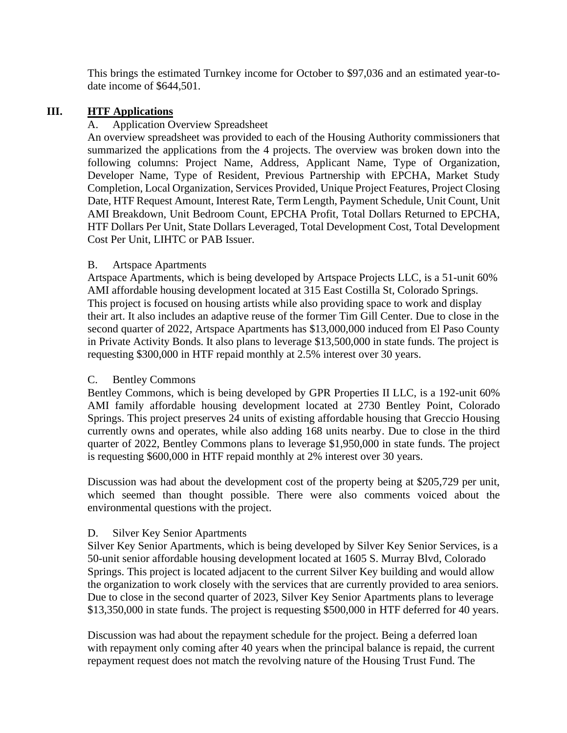This brings the estimated Turnkey income for October to \$97,036 and an estimated year-todate income of \$644,501.

## **III. HTF Applications**

#### Application Overview Spreadsheet

An overview spreadsheet was provided to each of the Housing Authority commissioners that summarized the applications from the 4 projects. The overview was broken down into the following columns: Project Name, Address, Applicant Name, Type of Organization, Developer Name, Type of Resident, Previous Partnership with EPCHA, Market Study Completion, Local Organization, Services Provided, Unique Project Features, Project Closing Date, HTF Request Amount, Interest Rate, Term Length, Payment Schedule, Unit Count, Unit AMI Breakdown, Unit Bedroom Count, EPCHA Profit, Total Dollars Returned to EPCHA, HTF Dollars Per Unit, State Dollars Leveraged, Total Development Cost, Total Development Cost Per Unit, LIHTC or PAB Issuer.

#### B. Artspace Apartments

Artspace Apartments, which is being developed by Artspace Projects LLC, is a 51-unit 60% AMI affordable housing development located at 315 East Costilla St, Colorado Springs. This project is focused on housing artists while also providing space to work and display their art. It also includes an adaptive reuse of the former Tim Gill Center. Due to close in the second quarter of 2022, Artspace Apartments has \$13,000,000 induced from El Paso County in Private Activity Bonds. It also plans to leverage \$13,500,000 in state funds. The project is requesting \$300,000 in HTF repaid monthly at 2.5% interest over 30 years.

#### C. Bentley Commons

Bentley Commons, which is being developed by GPR Properties II LLC, is a 192-unit 60% AMI family affordable housing development located at 2730 Bentley Point, Colorado Springs. This project preserves 24 units of existing affordable housing that Greccio Housing currently owns and operates, while also adding 168 units nearby. Due to close in the third quarter of 2022, Bentley Commons plans to leverage \$1,950,000 in state funds. The project is requesting \$600,000 in HTF repaid monthly at 2% interest over 30 years.

Discussion was had about the development cost of the property being at \$205,729 per unit, which seemed than thought possible. There were also comments voiced about the environmental questions with the project.

#### D. Silver Key Senior Apartments

Silver Key Senior Apartments, which is being developed by Silver Key Senior Services, is a 50-unit senior affordable housing development located at 1605 S. Murray Blvd, Colorado Springs. This project is located adjacent to the current Silver Key building and would allow the organization to work closely with the services that are currently provided to area seniors. Due to close in the second quarter of 2023, Silver Key Senior Apartments plans to leverage \$13,350,000 in state funds. The project is requesting \$500,000 in HTF deferred for 40 years.

Discussion was had about the repayment schedule for the project. Being a deferred loan with repayment only coming after 40 years when the principal balance is repaid, the current repayment request does not match the revolving nature of the Housing Trust Fund. The